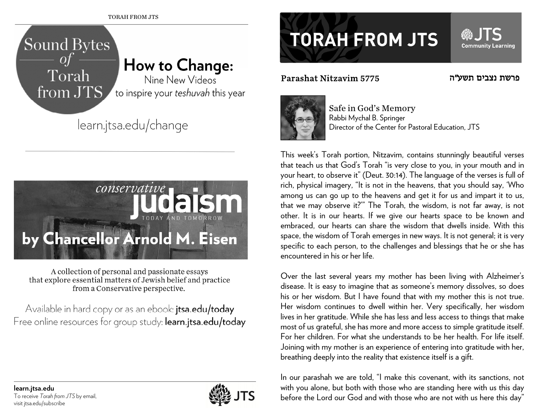



A collection of personal and passionate essays that explore essential matters of Jewish belief and practice from a Conservative perspective.

Available in hard copy or as an ebook: **itsa.edu/today** Free online resources for group study: learn.jtsa.edu/today



## **TORAH FROM JTS**

## Parashat Nitzavim 5775



**Community Learning** 



Safe in God's Memory Rabbi Mychal B. Springer Director of the Center for Pastoral Education, JTS

This week's Torah portion, Nitzavim, contains stunningly beautiful verses that teach us that God's Torah "is very close to you, in your mouth and in your heart, to observe it" (Deut. 30:14). The language of the verses is full of rich, physical imagery, "It is not in the heavens, that you should say, 'Who among us can go up to the heavens and get it for us and impart it to us, that we may observe it?'" The Torah, the wisdom, is not far away, is not other. It is in our hearts. If we give our hearts space to be known and embraced, our hearts can share the wisdom that dwells inside. With this space, the wisdom of Torah emerges in new ways. It is not general; it is very specific to each person, to the challenges and blessings that he or she has encountered in his or her life.

Over the last several years my mother has been living with Alzheimer's disease. It is easy to imagine that as someone's memory dissolves, so does his or her wisdom. But I have found that with my mother this is not true. Her wisdom continues to dwell within her. Very specifically, her wisdom lives in her gratitude. While she has less and less access to things that make most of us grateful, she has more and more access to simple gratitude itself. For her children. For what she understands to be her health. For life itself. Joining with my mother is an experience of entering into gratitude with her, breathing deeply into the reality that existence itself is a gift.

In our parashah we are told, "I make this covenant, with its sanctions, not with you alone, but both with those who are standing here with us this day before the Lord our God and with those who are not with us here this day"

**learn.jtsa.edu**  To receive *Torah from JTS* by email, visit jtsa.edu/subscribe